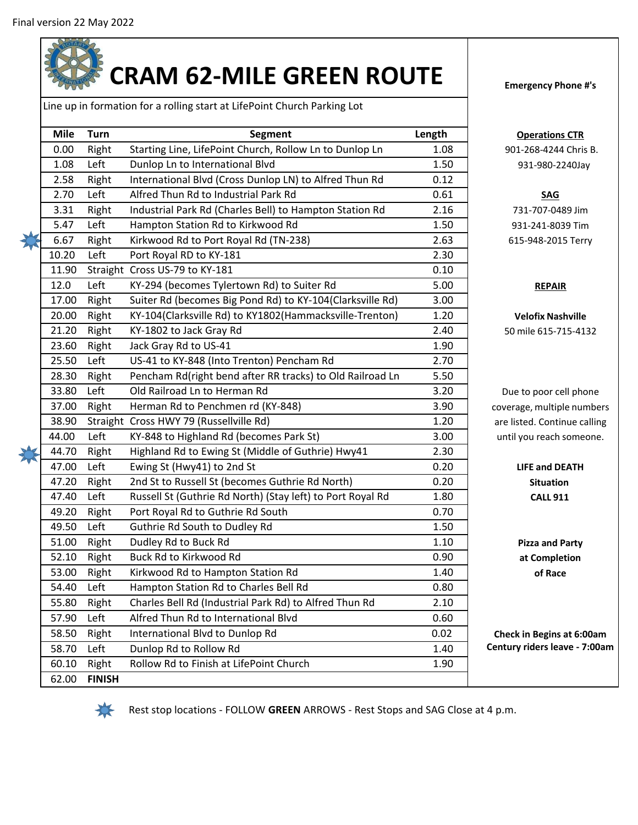

Line up in formation for a rolling start at LifePoint Church Parking Lot

| <b>Mile</b> | Turn          | <b>Segment</b>                                             | Length | Op         |
|-------------|---------------|------------------------------------------------------------|--------|------------|
| 0.00        | Right         | Starting Line, LifePoint Church, Rollow Ln to Dunlop Ln    | 1.08   | $901 - 2$  |
| 1.08        | Left          | Dunlop Ln to International Blvd                            | 1.50   | 93         |
| 2.58        | Right         | International Blvd (Cross Dunlop LN) to Alfred Thun Rd     | 0.12   |            |
| 2.70        | Left          | Alfred Thun Rd to Industrial Park Rd                       | 0.61   |            |
| 3.31        | Right         | Industrial Park Rd (Charles Bell) to Hampton Station Rd    | 2.16   | 731        |
| 5.47        | Left          | Hampton Station Rd to Kirkwood Rd                          | 1.50   | 931        |
| 6.67        | Right         | Kirkwood Rd to Port Royal Rd (TN-238)                      | 2.63   | $615 -$    |
| 10.20       | Left          | Port Royal RD to KY-181                                    | 2.30   |            |
| 11.90       |               | Straight Cross US-79 to KY-181                             | 0.10   |            |
| 12.0        | Left          | KY-294 (becomes Tylertown Rd) to Suiter Rd                 | 5.00   |            |
| 17.00       | Right         | Suiter Rd (becomes Big Pond Rd) to KY-104(Clarksville Rd)  | 3.00   |            |
| 20.00       | Right         | KY-104(Clarksville Rd) to KY1802(Hammacksville-Trenton)    | 1.20   | Vel        |
| 21.20       | Right         | KY-1802 to Jack Gray Rd                                    | 2.40   | 50 mil     |
| 23.60       | Right         | Jack Gray Rd to US-41                                      | 1.90   |            |
| 25.50       | Left          | US-41 to KY-848 (Into Trenton) Pencham Rd                  | 2.70   |            |
| 28.30       | Right         | Pencham Rd(right bend after RR tracks) to Old Railroad Ln  | 5.50   |            |
| 33.80       | Left          | Old Railroad Ln to Herman Rd                               | 3.20   | Due to     |
| 37.00       | Right         | Herman Rd to Penchmen rd (KY-848)                          | 3.90   | coverage   |
| 38.90       |               | Straight Cross HWY 79 (Russellville Rd)                    | 1.20   | are liste  |
| 44.00       | Left          | KY-848 to Highland Rd (becomes Park St)                    | 3.00   | until yo   |
| 44.70       | Right         | Highland Rd to Ewing St (Middle of Guthrie) Hwy41          | 2.30   |            |
| 47.00       | Left          | Ewing St (Hwy41) to 2nd St                                 | 0.20   | <b>LIF</b> |
| 47.20       | Right         | 2nd St to Russell St (becomes Guthrie Rd North)            | 0.20   |            |
| 47.40       | Left          | Russell St (Guthrie Rd North) (Stay left) to Port Royal Rd | 1.80   |            |
| 49.20       | Right         | Port Royal Rd to Guthrie Rd South                          | 0.70   |            |
| 49.50       | Left          | Guthrie Rd South to Dudley Rd                              | 1.50   |            |
| 51.00       | Right         | Dudley Rd to Buck Rd                                       | 1.10   | <b>Piz</b> |
| 52.10       | Right         | Buck Rd to Kirkwood Rd                                     | 0.90   | at         |
| 53.00       | Right         | Kirkwood Rd to Hampton Station Rd                          | 1.40   |            |
| 54.40       | Left          | Hampton Station Rd to Charles Bell Rd                      | 0.80   |            |
| 55.80       | Right         | Charles Bell Rd (Industrial Park Rd) to Alfred Thun Rd     | 2.10   |            |
| 57.90       | Left          | Alfred Thun Rd to International Blvd                       | 0.60   |            |
| 58.50       | Right         | International Blvd to Dunlop Rd                            | 0.02   | Check in   |
| 58.70       | Left          | Dunlop Rd to Rollow Rd                                     | 1.40   | Century ri |
| 60.10       | Right         | Rollow Rd to Finish at LifePoint Church                    | 1.90   |            |
| 62.00       | <b>FINISH</b> |                                                            |        |            |

**<u>Perations</u>** <sup>2</sup>68-4244 Chris B. 931-980-2240Jay

## **SAG** 731-707-0489 Jim 931-241-8039 Tim 948-2015 Terry

## **REPAIR**

**Velofix Nashville** le 615-715-4132

poor cell phone e, multiple numbers d. Continue calling u reach someone.

> **LIFE and DEATH Situation CALL 911**

**Pizza and Party at Completion of Race**

**Check in Begins at 6:00am Century riders leave - 7:00am**



Rest stop locations - FOLLOW **GREEN** ARROWS - Rest Stops and SAG Close at 4 p.m.